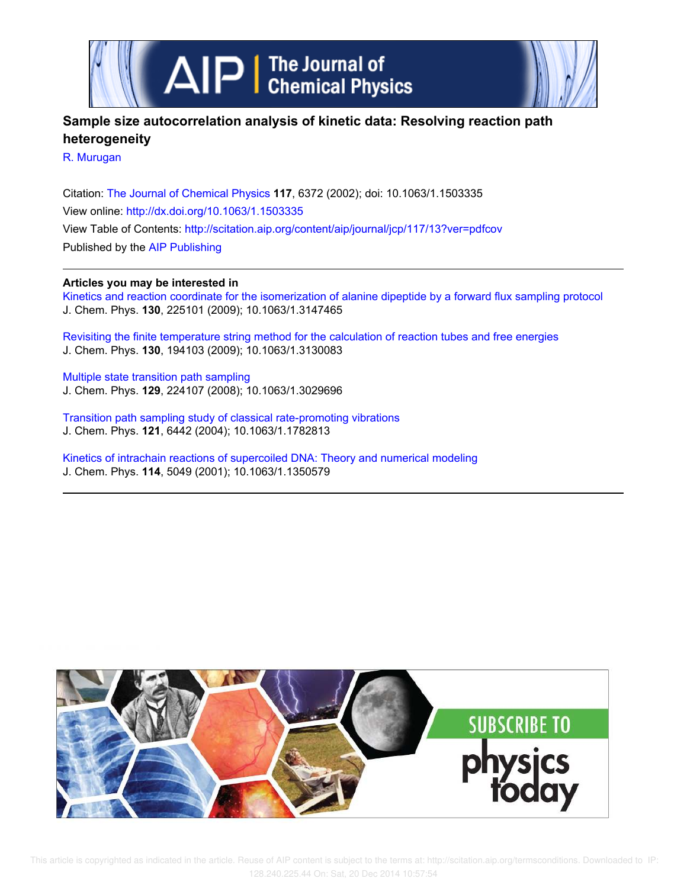

# **Sample size autocorrelation analysis of kinetic data: Resolving reaction path heterogeneity**

R. Murugan

Citation: The Journal of Chemical Physics **117**, 6372 (2002); doi: 10.1063/1.1503335 View online: http://dx.doi.org/10.1063/1.1503335 View Table of Contents: http://scitation.aip.org/content/aip/journal/jcp/117/13?ver=pdfcov Published by the AIP Publishing

## **Articles you may be interested in**

Kinetics and reaction coordinate for the isomerization of alanine dipeptide by a forward flux sampling protocol J. Chem. Phys. **130**, 225101 (2009); 10.1063/1.3147465

Revisiting the finite temperature string method for the calculation of reaction tubes and free energies J. Chem. Phys. **130**, 194103 (2009); 10.1063/1.3130083

Multiple state transition path sampling J. Chem. Phys. **129**, 224107 (2008); 10.1063/1.3029696

Transition path sampling study of classical rate-promoting vibrations J. Chem. Phys. **121**, 6442 (2004); 10.1063/1.1782813

Kinetics of intrachain reactions of supercoiled DNA: Theory and numerical modeling J. Chem. Phys. **114**, 5049 (2001); 10.1063/1.1350579

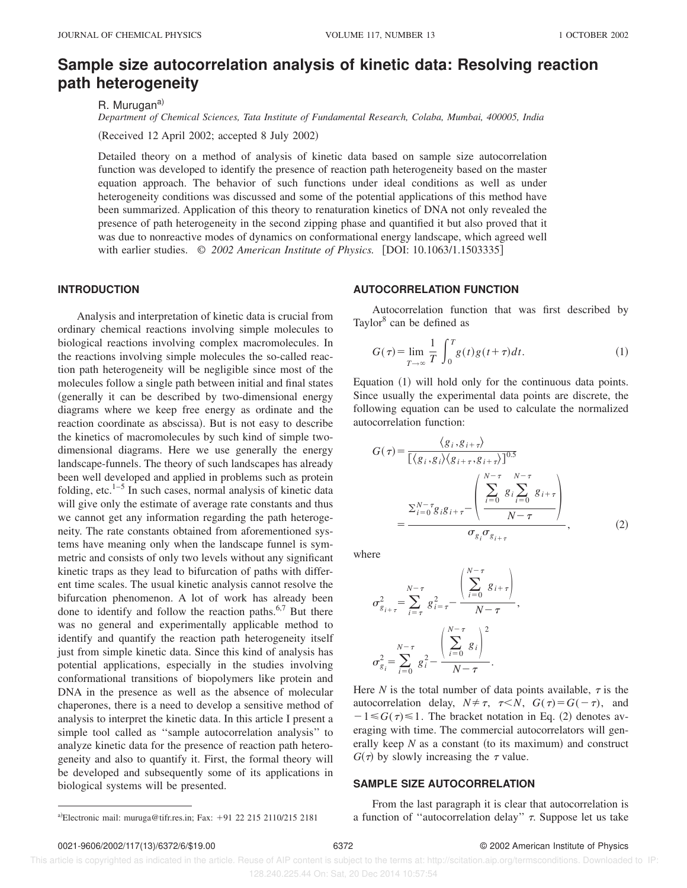# **Sample size autocorrelation analysis of kinetic data: Resolving reaction path heterogeneity**

R. Murugan<sup>a)</sup>

*Department of Chemical Sciences, Tata Institute of Fundamental Research, Colaba, Mumbai, 400005, India*

(Received 12 April 2002; accepted 8 July 2002)

Detailed theory on a method of analysis of kinetic data based on sample size autocorrelation function was developed to identify the presence of reaction path heterogeneity based on the master equation approach. The behavior of such functions under ideal conditions as well as under heterogeneity conditions was discussed and some of the potential applications of this method have been summarized. Application of this theory to renaturation kinetics of DNA not only revealed the presence of path heterogeneity in the second zipping phase and quantified it but also proved that it was due to nonreactive modes of dynamics on conformational energy landscape, which agreed well with earlier studies.  $\odot$  2002 American Institute of Physics. [DOI: 10.1063/1.1503335]

#### **INTRODUCTION**

Analysis and interpretation of kinetic data is crucial from ordinary chemical reactions involving simple molecules to biological reactions involving complex macromolecules. In the reactions involving simple molecules the so-called reaction path heterogeneity will be negligible since most of the molecules follow a single path between initial and final states (generally it can be described by two-dimensional energy diagrams where we keep free energy as ordinate and the reaction coordinate as abscissa). But is not easy to describe the kinetics of macromolecules by such kind of simple twodimensional diagrams. Here we use generally the energy landscape-funnels. The theory of such landscapes has already been well developed and applied in problems such as protein folding, etc. $1-5$  In such cases, normal analysis of kinetic data will give only the estimate of average rate constants and thus we cannot get any information regarding the path heterogeneity. The rate constants obtained from aforementioned systems have meaning only when the landscape funnel is symmetric and consists of only two levels without any significant kinetic traps as they lead to bifurcation of paths with different time scales. The usual kinetic analysis cannot resolve the bifurcation phenomenon. A lot of work has already been done to identify and follow the reaction paths.<sup>6,7</sup> But there was no general and experimentally applicable method to identify and quantify the reaction path heterogeneity itself just from simple kinetic data. Since this kind of analysis has potential applications, especially in the studies involving conformational transitions of biopolymers like protein and DNA in the presence as well as the absence of molecular chaperones, there is a need to develop a sensitive method of analysis to interpret the kinetic data. In this article I present a simple tool called as ''sample autocorrelation analysis'' to analyze kinetic data for the presence of reaction path heterogeneity and also to quantify it. First, the formal theory will be developed and subsequently some of its applications in biological systems will be presented.

#### **AUTOCORRELATION FUNCTION**

Autocorrelation function that was first described by Taylor<sup>8</sup> can be defined as

$$
G(\tau) = \lim_{T \to \infty} \frac{1}{T} \int_0^T g(t)g(t+\tau)dt.
$$
 (1)

Equation  $(1)$  will hold only for the continuous data points. Since usually the experimental data points are discrete, the following equation can be used to calculate the normalized autocorrelation function:

$$
G(\tau) = \frac{\langle g_i, g_{i+\tau} \rangle}{\left[ \langle g_i, g_i \rangle \langle g_{i+\tau}, g_{i+\tau} \rangle \right]^{0.5}}
$$

$$
= \frac{\sum_{i=0}^{N-\tau} g_i g_{i+\tau} - \left( \frac{\sum_{i=0}^{N-\tau} g_i \sum_{i=0}^{N-\tau} g_{i+\tau}}{N-\tau} \right)}{\sigma_{g_i} \sigma_{g_{i+\tau}}}, \qquad (2)
$$

where

$$
\sigma_{g_{i+\tau}}^2 = \sum_{i=\tau}^{N-\tau} g_{i-\tau}^2 - \frac{\left(\sum_{i=0}^{N-\tau} g_{i+\tau}\right)}{N-\tau},
$$

$$
\sigma_{g_i}^2 = \sum_{i=0}^{N-\tau} g_i^2 - \frac{\left(\sum_{i=0}^{N-\tau} g_i\right)^2}{N-\tau}.
$$

Here *N* is the total number of data points available,  $\tau$  is the autocorrelation delay,  $N \neq \tau$ ,  $\tau \leq N$ ,  $G(\tau) = G(-\tau)$ , and  $-1 \leq G(\tau) \leq 1$ . The bracket notation in Eq. (2) denotes averaging with time. The commercial autocorrelators will generally keep  $N$  as a constant (to its maximum) and construct  $G(\tau)$  by slowly increasing the  $\tau$  value.

#### **SAMPLE SIZE AUTOCORRELATION**

From the last paragraph it is clear that autocorrelation is a)Electronic mail: muruga@tifr.res.in; Fax: +91 22 215 2110/215 2181 a function of "autocorrelation delay"  $\tau$ . Suppose let us take

 This article is copyrighted as indicated in the article. Reuse of AIP content is subject to the terms at: http://scitation.aip.org/termsconditions. Downloaded to IP: 128.240.225.44 On: Sat, 20 Dec 2014 10:57:54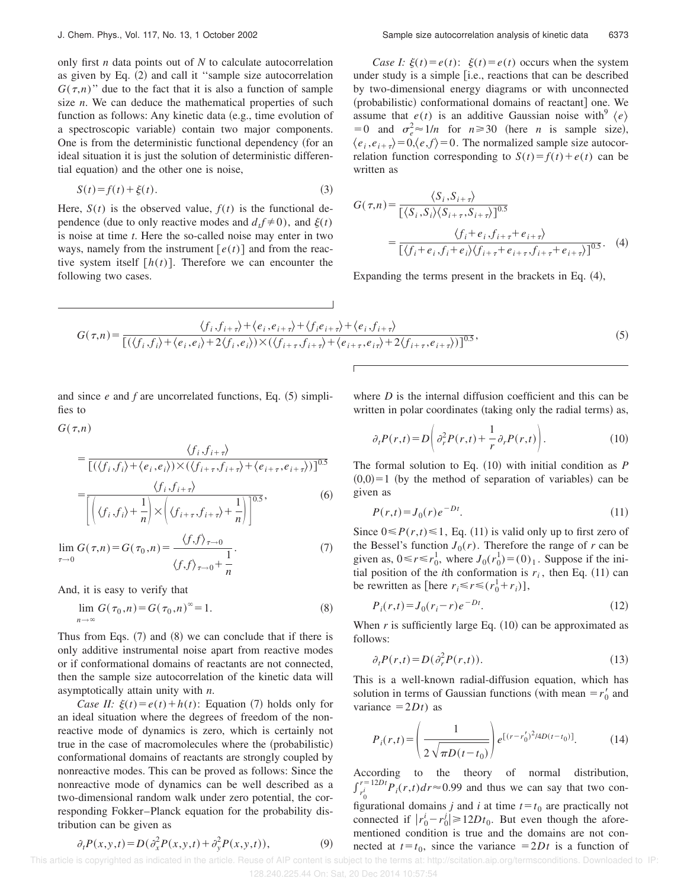only first *n* data points out of *N* to calculate autocorrelation as given by Eq.  $(2)$  and call it "sample size autocorrelation  $G(\tau,n)$ " due to the fact that it is also a function of sample size *n*. We can deduce the mathematical properties of such function as follows: Any kinetic data (e.g., time evolution of a spectroscopic variable) contain two major components. One is from the deterministic functional dependency (for an ideal situation it is just the solution of deterministic differential equation) and the other one is noise,

$$
S(t) = f(t) + \xi(t). \tag{3}
$$

Here,  $S(t)$  is the observed value,  $f(t)$  is the functional dependence (due to only reactive modes and  $d_t f \neq 0$ ), and  $\xi(t)$ is noise at time *t*. Here the so-called noise may enter in two ways, namely from the instrument  $[e(t)]$  and from the reactive system itself  $[h(t)]$ . Therefore we can encounter the following two cases.

*Case I:*  $\xi(t) = e(t)$ :  $\xi(t) = e(t)$  occurs when the system under study is a simple [i.e., reactions that can be described by two-dimensional energy diagrams or with unconnected (probabilistic) conformational domains of reactant] one. We assume that  $e(t)$  is an additive Gaussian noise with<sup>9</sup>  $\langle e \rangle$  $= 0$  and  $\sigma_e^2 \approx 1/n$  for  $n \ge 30$  (here *n* is sample size),  $\langle e_i, e_{i+\tau} \rangle = 0, \langle e, f \rangle = 0$ . The normalized sample size autocorrelation function corresponding to  $S(t) = f(t) + e(t)$  can be written as

$$
G(\tau,n) = \frac{\langle S_i, S_{i+\tau} \rangle}{\left[ \langle S_i, S_i \rangle \langle S_{i+\tau}, S_{i+\tau} \rangle \right]^{0.5}}
$$
  
= 
$$
\frac{\langle f_i + e_i, f_{i+\tau} + e_{i+\tau} \rangle}{\left[ \langle f_i + e_i, f_i + e_i \rangle \langle f_{i+\tau} + e_{i+\tau}, f_{i+\tau} + e_{i+\tau} \rangle \right]^{0.5}}.
$$
 (4)

Expanding the terms present in the brackets in Eq.  $(4)$ ,

$$
G(\tau,n) = \frac{\langle f_i, f_{i+\tau} \rangle + \langle e_i, e_{i+\tau} \rangle + \langle f_i e_{i+\tau} \rangle + \langle e_i, f_{i+\tau} \rangle}{\left[ (\langle f_i, f_i \rangle + \langle e_i, e_i \rangle + 2\langle f_i, e_i \rangle) \times (\langle f_{i+\tau}, f_{i+\tau} \rangle + \langle e_{i+\tau}, e_{i+\tau} \rangle + 2\langle f_{i+\tau}, e_{i+\tau} \rangle) \right]^{0.5}},\tag{5}
$$

 $\overline{1}$ 

and since  $e$  and  $f$  are uncorrelated functions, Eq.  $(5)$  simplifies to

 $G(\tau,n)$ 

$$
= \frac{\langle f_i, f_{i+\tau} \rangle}{\left[ (\langle f_i, f_i \rangle + \langle e_i, e_i \rangle) \times (\langle f_{i+\tau}, f_{i+\tau} \rangle + \langle e_{i+\tau}, e_{i+\tau} \rangle) \right]^{0.5}}
$$
  
= 
$$
\frac{\langle f_i, f_{i+\tau} \rangle}{\left[ \langle e_i, f_i \rangle + \langle e_i, e_i \rangle \right]^{0.5}},
$$
 (6)

$$
\mathcal{L}\left[\left(\langle f_i, f_i \rangle + \frac{1}{n}\right) \times \left(\langle f_{i+\tau}, f_{i+\tau} \rangle + \frac{1}{n}\right)\right]^{0.5},\tag{6}
$$

$$
\lim_{\tau \to 0} G(\tau, n) = G(\tau_0, n) = \frac{\langle f, f \rangle_{\tau \to 0}}{\langle f, f \rangle_{\tau \to 0} + \frac{1}{n}}.
$$
\n(7)

And, it is easy to verify that

$$
\lim_{n \to \infty} G(\tau_0, n) = G(\tau_0, n) = 1.
$$
\n(8)

Thus from Eqs.  $(7)$  and  $(8)$  we can conclude that if there is only additive instrumental noise apart from reactive modes or if conformational domains of reactants are not connected, then the sample size autocorrelation of the kinetic data will asymptotically attain unity with *n*.

*Case II:*  $\xi(t) = e(t) + h(t)$ : Equation (7) holds only for an ideal situation where the degrees of freedom of the nonreactive mode of dynamics is zero, which is certainly not true in the case of macromolecules where the (probabilistic) conformational domains of reactants are strongly coupled by nonreactive modes. This can be proved as follows: Since the nonreactive mode of dynamics can be well described as a two-dimensional random walk under zero potential, the corresponding Fokker–Planck equation for the probability distribution can be given as

$$
\partial_t P(x, y, t) = D(\partial_x^2 P(x, y, t) + \partial_y^2 P(x, y, t)),\tag{9}
$$

where *D* is the internal diffusion coefficient and this can be written in polar coordinates (taking only the radial terms) as,

$$
\partial_t P(r,t) = D\left(\partial_r^2 P(r,t) + \frac{1}{r}\partial_r P(r,t)\right).
$$
 (10)

The formal solution to Eq.  $(10)$  with initial condition as  $$  $(0,0)=1$  (by the method of separation of variables) can be given as

$$
P(r,t) = J_0(r)e^{-Dt}.
$$
\n(11)

Since  $0 \le P(r,t) \le 1$ , Eq. (11) is valid only up to first zero of the Bessel's function  $J_0(r)$ . Therefore the range of *r* can be given as,  $0 \le r \le r_0^1$ , where  $J_0(r_0^1) = (0)_1$ . Suppose if the initial position of the *i*th conformation is  $r_i$ , then Eq. (11) can be rewritten as [here  $r_i \le r \le (r_0^1 + r_i)$ ],

$$
P_i(r,t) = J_0(r_i - r)e^{-Dt}.
$$
 (12)

When  $r$  is sufficiently large Eq.  $(10)$  can be approximated as follows:

$$
\partial_t P(r,t) = D(\partial_r^2 P(r,t)).\tag{13}
$$

This is a well-known radial-diffusion equation, which has solution in terms of Gaussian functions (with mean  $=r'_0$  and variance  $=2Dt$ ) as

$$
P_i(r,t) = \left(\frac{1}{2\sqrt{\pi D(t-t_0)}}\right) e^{[(r-r'_0)^2/4D(t-t_0)]}.
$$
 (14)

According to the theory of normal distribution,  $\int_{r_0^i}^{r=12Dt} P_i(r,t) dr \approx 0.99$  and thus we can say that two configurational domains *j* and *i* at time  $t = t_0$  are practically not connected if  $|r_0^i - r_0^j| \ge 12Dt_0$ . But even though the aforementioned condition is true and the domains are not connected at  $t = t_0$ , since the variance  $= 2Dt$  is a function of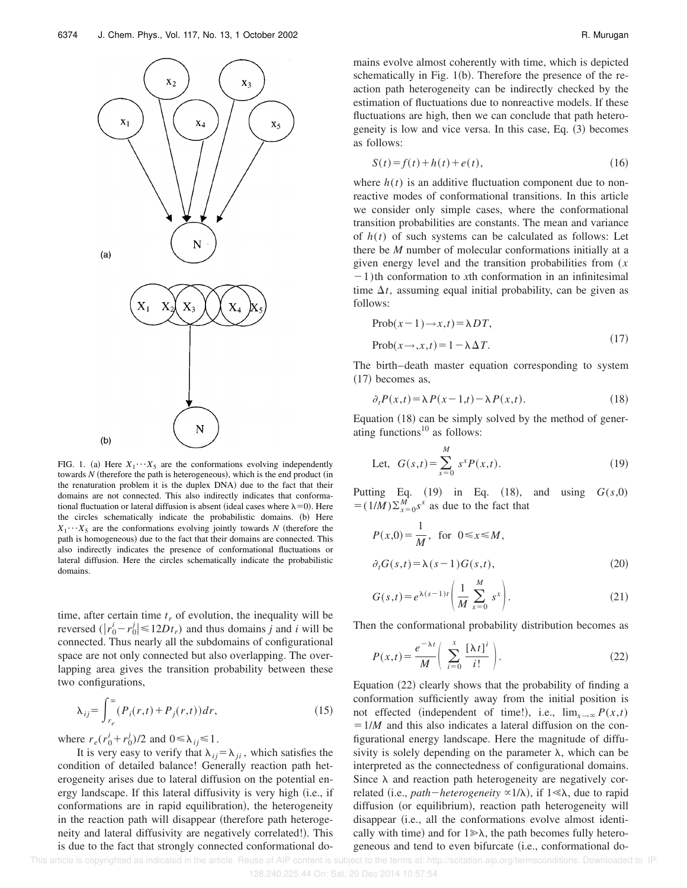

FIG. 1. (a) Here  $X_1 \cdots X_5$  are the conformations evolving independently towards  $N$  (therefore the path is heterogeneous), which is the end product (in the renaturation problem it is the duplex DNA) due to the fact that their domains are not connected. This also indirectly indicates that conformational fluctuation or lateral diffusion is absent (ideal cases where  $\lambda=0$ ). Here the circles schematically indicate the probabilistic domains. (b) Here  $X_1 \cdots X_5$  are the conformations evolving jointly towards *N* (therefore the path is homogeneous) due to the fact that their domains are connected. This also indirectly indicates the presence of conformational fluctuations or lateral diffusion. Here the circles schematically indicate the probabilistic domains.

time, after certain time  $t_r$  of evolution, the inequality will be reversed  $(|r_0^i - r_0^j| \le 12Dt_r)$  and thus domains *j* and *i* will be connected. Thus nearly all the subdomains of configurational space are not only connected but also overlapping. The overlapping area gives the transition probability between these two configurations,

$$
\lambda_{ij} = \int_{r_e}^{\infty} (P_i(r,t) + P_j(r,t)) dr,
$$
\n(15)

where  $r_e(r_0^i + r_0^j)/2$  and  $0 \le \lambda_{ij} \le 1$ .

It is very easy to verify that  $\lambda_{ij} = \lambda_{ji}$ , which satisfies the condition of detailed balance! Generally reaction path heterogeneity arises due to lateral diffusion on the potential energy landscape. If this lateral diffusivity is very high (i.e., if conformations are in rapid equilibration), the heterogeneity in the reaction path will disappear (therefore path heterogeneity and lateral diffusivity are negatively correlated!). This is due to the fact that strongly connected conformational domains evolve almost coherently with time, which is depicted schematically in Fig.  $1(b)$ . Therefore the presence of the reaction path heterogeneity can be indirectly checked by the estimation of fluctuations due to nonreactive models. If these fluctuations are high, then we can conclude that path heterogeneity is low and vice versa. In this case, Eq.  $(3)$  becomes as follows:

$$
S(t) = f(t) + h(t) + e(t),
$$
\n(16)

where  $h(t)$  is an additive fluctuation component due to nonreactive modes of conformational transitions. In this article we consider only simple cases, where the conformational transition probabilities are constants. The mean and variance of *h*(*t*) of such systems can be calculated as follows: Let there be *M* number of molecular conformations initially at a given energy level and the transition probabilities from (*x*  $-1$ )th conformation to *x*th conformation in an infinitesimal time  $\Delta t$ , assuming equal initial probability, can be given as follows:

$$
\text{Prob}(x-1) \to x, t) = \lambda DT,
$$
  
\n
$$
\text{Prob}(x \to, x, t) = 1 - \lambda \Delta T.
$$
 (17)

The birth–death master equation corresponding to system  $(17)$  becomes as,

$$
\partial_t P(x,t) = \lambda P(x-1,t) - \lambda P(x,t). \tag{18}
$$

Equation  $(18)$  can be simply solved by the method of generating functions $^{10}$  as follows:

Let, 
$$
G(s,t) = \sum_{x=0}^{M} s^x P(x,t)
$$
. (19)

Putting Eq.  $(19)$  in Eq.  $(18)$ , and using  $G(s,0)$  $= (1/M)\sum_{x=0}^{M} s^x$  as due to the fact that

$$
P(x,0) = \frac{1}{M}, \text{ for } 0 \le x \le M,
$$
  

$$
\partial_t G(s,t) = \lambda(s-1)G(s,t),
$$
 (20)

$$
G(s,t) = e^{\lambda(s-1)t} \left( \frac{1}{M} \sum_{x=0}^{M} s^x \right).
$$
 (21)

Then the conformational probability distribution becomes as

$$
P(x,t) = \frac{e^{-\lambda t}}{M} \left( \sum_{i=0}^{x} \frac{[\lambda t]^i}{i!} \right).
$$
 (22)

Equation  $(22)$  clearly shows that the probability of finding a conformation sufficiently away from the initial position is not effected (independent of time!), i.e.,  $\lim_{x\to\infty} P(x,t)$  $=1/M$  and this also indicates a lateral diffusion on the configurational energy landscape. Here the magnitude of diffusivity is solely depending on the parameter  $\lambda$ , which can be interpreted as the connectedness of configurational domains. Since  $\lambda$  and reaction path heterogeneity are negatively correlated (i.e., *path*—*heterogeneity*  $\propto$ 1/ $\lambda$ ), if 1  $\ll$  $\lambda$ , due to rapid diffusion (or equilibrium), reaction path heterogeneity will disappear (i.e., all the conformations evolve almost identically with time) and for  $1 \gg \lambda$ , the path becomes fully heterogeneous and tend to even bifurcate (i.e., conformational do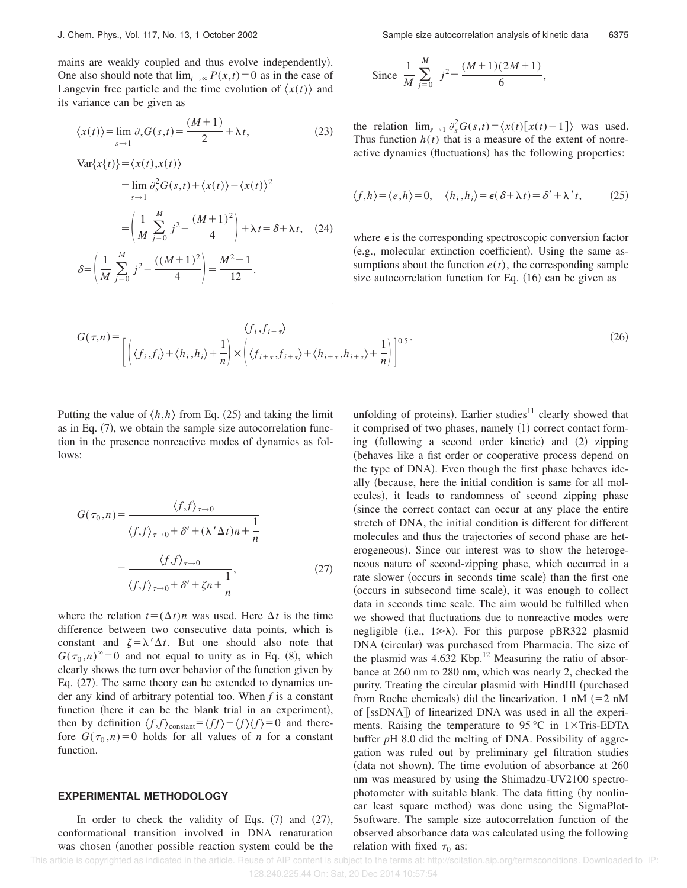mains are weakly coupled and thus evolve independently). One also should note that  $\lim_{t\to\infty} P(x,t)=0$  as in the case of Langevin free particle and the time evolution of  $\langle x(t) \rangle$  and its variance can be given as

$$
\langle x(t) \rangle = \lim_{s \to 1} \partial_s G(s, t) = \frac{(M+1)}{2} + \lambda t,\tag{23}
$$

$$
\begin{aligned} \text{Var}\{x\{t\}\} &= \langle x(t), x(t) \rangle \\ &= \lim_{s \to 1} \partial_s^2 G(s, t) + \langle x(t) \rangle - \langle x(t) \rangle^2 \\ &= \left(\frac{1}{M} \sum_{j=0}^M j^2 - \frac{(M+1)^2}{4}\right) + \lambda t = \delta + \lambda t, \quad (24) \\ \delta &= \left(\frac{1}{M} \sum_{j=0}^M j^2 - \frac{((M+1)^2}{4}\right) = \frac{M^2 - 1}{12}. \end{aligned}
$$

Since 
$$
\frac{1}{M} \sum_{j=0}^{M} j^2 = \frac{(M+1)(2M+1)}{6}
$$
,

the relation  $\lim_{s\to 1} \frac{\partial_s^2 G(s,t)}{\partial_s^2} = \langle x(t) [x(t)-1] \rangle$  was used. Thus function  $h(t)$  that is a measure of the extent of nonreactive dynamics (fluctuations) has the following properties:

$$
\langle f, h \rangle = \langle e, h \rangle = 0, \quad \langle h_i, h_i \rangle = \epsilon(\delta + \lambda t) = \delta' + \lambda' t, \tag{25}
$$

where  $\epsilon$  is the corresponding spectroscopic conversion factor (e.g., molecular extinction coefficient). Using the same assumptions about the function  $e(t)$ , the corresponding sample size autocorrelation function for Eq.  $(16)$  can be given as

$$
G(\tau, n) = \frac{\langle f_i, f_{i+\tau} \rangle}{\left[ \left( \langle f_i, f_i \rangle + \langle h_i, h_i \rangle + \frac{1}{n} \right) \times \left( \langle f_{i+\tau}, f_{i+\tau} \rangle + \langle h_{i+\tau}, h_{i+\tau} \rangle + \frac{1}{n} \right) \right]^{0.5}}.
$$
\n(26)

Putting the value of  $\langle h,h \rangle$  from Eq. (25) and taking the limit as in Eq.  $(7)$ , we obtain the sample size autocorrelation function in the presence nonreactive modes of dynamics as follows:

$$
G(\tau_0, n) = \frac{\langle f, f \rangle_{\tau \to 0}}{\langle f, f \rangle_{\tau \to 0} + \delta' + (\lambda' \Delta t) n + \frac{1}{n}}
$$

$$
= \frac{\langle f, f \rangle_{\tau \to 0}}{\langle f, f \rangle_{\tau \to 0} + \delta' + \zeta n + \frac{1}{n}},\tag{27}
$$

where the relation  $t = (\Delta t)n$  was used. Here  $\Delta t$  is the time difference between two consecutive data points, which is constant and  $\zeta = \lambda' \Delta t$ . But one should also note that  $G(\tau_0, n)$ <sup>∞</sup>=0 and not equal to unity as in Eq. (8), which clearly shows the turn over behavior of the function given by Eq.  $(27)$ . The same theory can be extended to dynamics under any kind of arbitrary potential too. When *f* is a constant function (here it can be the blank trial in an experiment), then by definition  $\langle f, f \rangle$ <sub>constant</sub>= $\langle f, f \rangle - \langle f \rangle$  $\langle f \rangle = 0$  and therefore  $G(\tau_0, n) = 0$  holds for all values of *n* for a constant function.

#### **EXPERIMENTAL METHODOLOGY**

In order to check the validity of Eqs.  $(7)$  and  $(27)$ , conformational transition involved in DNA renaturation was chosen (another possible reaction system could be the unfolding of proteins). Earlier studies $11$  clearly showed that it comprised of two phases, namely  $(1)$  correct contact forming  $(following a second order kinetic) and (2) zipping$ (behaves like a fist order or cooperative process depend on the type of DNA). Even though the first phase behaves ideally (because, here the initial condition is same for all molecules), it leads to randomness of second zipping phase (since the correct contact can occur at any place the entire stretch of DNA, the initial condition is different for different molecules and thus the trajectories of second phase are heterogeneous). Since our interest was to show the heterogeneous nature of second-zipping phase, which occurred in a rate slower (occurs in seconds time scale) than the first one (occurs in subsecond time scale), it was enough to collect data in seconds time scale. The aim would be fulfilled when we showed that fluctuations due to nonreactive modes were negligible (i.e.,  $1 \gg \lambda$ ). For this purpose pBR322 plasmid DNA (circular) was purchased from Pharmacia. The size of the plasmid was  $4.632$  Kbp.<sup>12</sup> Measuring the ratio of absorbance at 260 nm to 280 nm, which was nearly 2, checked the purity. Treating the circular plasmid with HindIII (purchased from Roche chemicals) did the linearization. 1 nM  $(=2 \text{ nM})$ of [ssDNA]) of linearized DNA was used in all the experiments. Raising the temperature to  $95^{\circ}$ C in 1 $\times$ Tris-EDTA buffer *p*H 8.0 did the melting of DNA. Possibility of aggregation was ruled out by preliminary gel filtration studies  $(data not shown)$ . The time evolution of absorbance at 260 nm was measured by using the Shimadzu-UV2100 spectrophotometer with suitable blank. The data fitting (by nonlinear least square method) was done using the SigmaPlot-5software. The sample size autocorrelation function of the observed absorbance data was calculated using the following relation with fixed  $\tau_0$  as: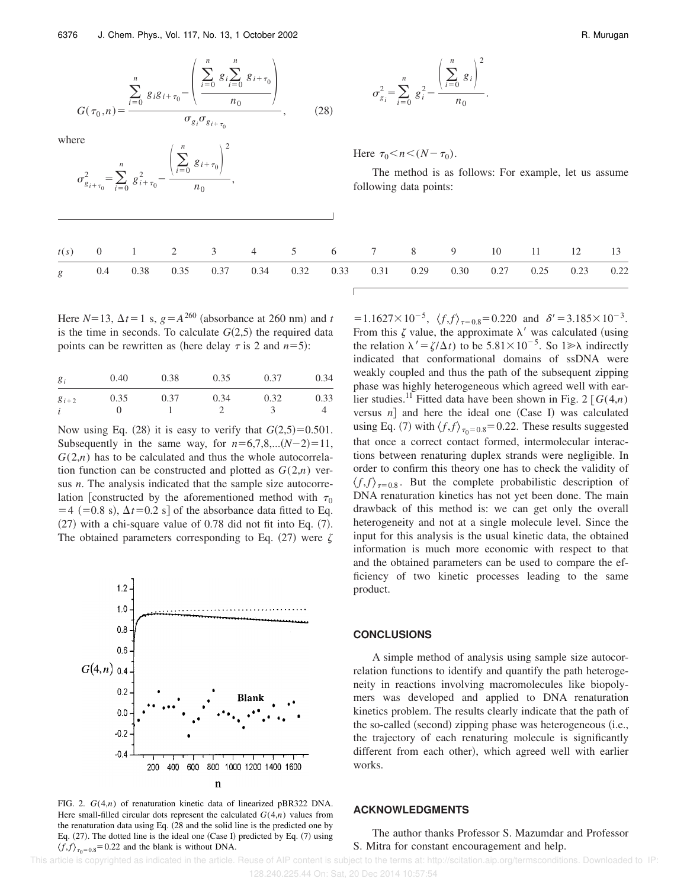$$
G(\tau_0, n) = \frac{\sum_{i=0}^{n} g_i g_{i+\tau_0} - \left(\frac{\sum_{i=0}^{n} g_i \sum_{i=0}^{n} g_{i+\tau_0}}{n_0}\right)}{\sigma_{g_i} \sigma_{g_{i+\tau_0}}},
$$
(28)

where

$$
\sigma_{g_{i+\tau_0}}^2 = \sum_{i=0}^n g_{i+\tau_0}^2 - \frac{\left(\sum_{i=0}^n g_{i+\tau_0}\right)^2}{n_0},
$$

$$
\sigma_{g_i}^2 = \sum_{i=0}^n g_i^2 - \frac{\left(\sum_{i=0}^n g_i\right)^2}{n_0}.
$$

Here  $\tau_0 < n < (N - \tau_0)$ .

The method is as follows: For example, let us assume following data points:

|  |  |  |  |  | $t(s)$ 0 1 2 3 4 5 6 7 8 9 10 11 12 13                                 |  |  |
|--|--|--|--|--|------------------------------------------------------------------------|--|--|
|  |  |  |  |  | g 0.4 0.38 0.35 0.37 0.34 0.32 0.33 0.31 0.29 0.30 0.27 0.25 0.23 0.22 |  |  |

Here  $N=13$ ,  $\Delta t=1$  s,  $g=A^{260}$  (absorbance at 260 nm) and *t* is the time in seconds. To calculate  $G(2,5)$  the required data points can be rewritten as (here delay  $\tau$  is 2 and  $n=5$ ):

| $g_i$      | 0.40 | 0.38 | 0.35 | 0.37 | 0.34 |
|------------|------|------|------|------|------|
| $g_{i+2}$  | 0.35 | 0.37 | 0.34 | 0.32 | 0.33 |
| $\ddot{i}$ |      |      |      |      |      |

Now using Eq.  $(28)$  it is easy to verify that  $G(2,5)=0.501$ . Subsequently in the same way, for  $n=6,7,8,...(N-2)=11$ ,  $G(2,n)$  has to be calculated and thus the whole autocorrelation function can be constructed and plotted as  $G(2,n)$  versus *n*. The analysis indicated that the sample size autocorrelation [constructed by the aforementioned method with  $\tau_0$  $=4$  (=0.8 s),  $\Delta t$ =0.2 s] of the absorbance data fitted to Eq.  $(27)$  with a chi-square value of 0.78 did not fit into Eq.  $(7)$ . The obtained parameters corresponding to Eq.  $(27)$  were  $\zeta$ 



FIG. 2. *G*(4,*n*) of renaturation kinetic data of linearized pBR322 DNA. Here small-filled circular dots represent the calculated  $G(4,n)$  values from the renaturation data using Eq. (28 and the solid line is the predicted one by Eq.  $(27)$ . The dotted line is the ideal one  $(Case I)$  predicted by Eq.  $(7)$  using  $\langle f, f \rangle_{\tau_0 = 0.8} = 0.22$  and the blank is without DNA.

 $=1.1627 \times 10^{-5}$ ,  $\langle f, f \rangle_{\tau=0.8} = 0.220$  and  $\delta' = 3.185 \times 10^{-3}$ . From this  $\zeta$  value, the approximate  $\lambda'$  was calculated (using the relation  $\lambda' = \zeta/\Delta t$  to be 5.81×10<sup>-5</sup>. So 1 $\gg \lambda$  indirectly indicated that conformational domains of ssDNA were weakly coupled and thus the path of the subsequent zipping phase was highly heterogeneous which agreed well with earlier studies.<sup>11</sup> Fitted data have been shown in Fig. 2  $[G(4,n)]$ versus  $n$ ] and here the ideal one (Case I) was calculated using Eq. (7) with  $\langle f, f \rangle_{\tau_0 = 0.8} = 0.22$ . These results suggested that once a correct contact formed, intermolecular interactions between renaturing duplex strands were negligible. In order to confirm this theory one has to check the validity of  $\langle f, f \rangle_{\tau=0.8}$ . But the complete probabilistic description of DNA renaturation kinetics has not yet been done. The main drawback of this method is: we can get only the overall heterogeneity and not at a single molecule level. Since the input for this analysis is the usual kinetic data, the obtained information is much more economic with respect to that and the obtained parameters can be used to compare the efficiency of two kinetic processes leading to the same product.

### **CONCLUSIONS**

A simple method of analysis using sample size autocorrelation functions to identify and quantify the path heterogeneity in reactions involving macromolecules like biopolymers was developed and applied to DNA renaturation kinetics problem. The results clearly indicate that the path of the so-called (second) zipping phase was heterogeneous (i.e., the trajectory of each renaturing molecule is significantly different from each other), which agreed well with earlier works.

#### **ACKNOWLEDGMENTS**

### The author thanks Professor S. Mazumdar and Professor S. Mitra for constant encouragement and help.